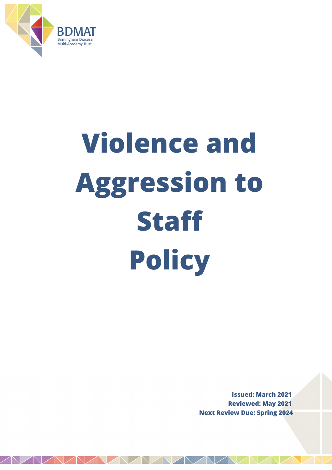

# **Violence and Aggression to Staff Policy**

**Issued: March 2021 Reviewed: May 2021 Next Review Due: Spring 2024**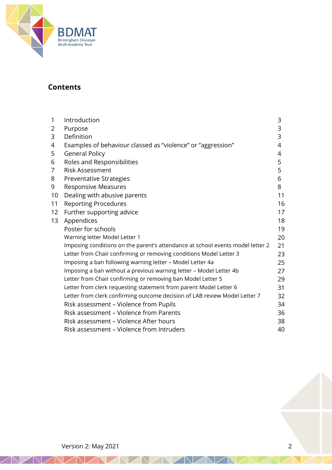

# **Contents**

| Introduction                                                                   | 3  |
|--------------------------------------------------------------------------------|----|
| Purpose                                                                        | 3  |
| Definition                                                                     | 3  |
| Examples of behaviour classed as "violence" or "aggression"                    | 4  |
| <b>General Policy</b>                                                          | 4  |
| Roles and Responsibilities                                                     | 5  |
| <b>Risk Assessment</b>                                                         | 5  |
| Preventative Strategies                                                        | 6  |
| Responsive Measures                                                            | 8  |
| Dealing with abusive parents                                                   | 11 |
| <b>Reporting Procedures</b>                                                    | 16 |
| Further supporting advice                                                      | 17 |
| Appendices                                                                     | 18 |
| Poster for schools                                                             | 19 |
| Warning letter Model Letter 1                                                  | 20 |
| Imposing conditions on the parent's attendance at school events model letter 2 | 21 |
| Letter from Chair confirming or removing conditions Model Letter 3             | 23 |
| Imposing a ban following warning letter - Model Letter 4a                      | 25 |
| Imposing a ban without a previous warning letter - Model Letter 4b             | 27 |
| Letter from Chair confirming or removing ban Model Letter 5                    | 29 |
| Letter from clerk requesting statement from parent Model Letter 6              | 31 |
| Letter from clerk confirming outcome decision of LAB review Model Letter 7     | 32 |
| Risk assessment - Violence from Pupils                                         | 34 |
| Risk assessment - Violence from Parents                                        | 36 |
| Risk assessment - Violence After hours                                         | 38 |
| Risk assessment - Violence from Intruders                                      | 40 |
|                                                                                |    |

K. - 1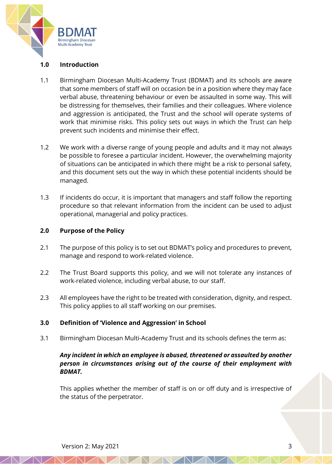

# **1.0 Introduction**

- 1.1 Birmingham Diocesan Multi-Academy Trust (BDMAT) and its schools are aware that some members of staff will on occasion be in a position where they may face verbal abuse, threatening behaviour or even be assaulted in some way. This will be distressing for themselves, their families and their colleagues. Where violence and aggression is anticipated, the Trust and the school will operate systems of work that minimise risks. This policy sets out ways in which the Trust can help prevent such incidents and minimise their effect.
- 1.2 We work with a diverse range of young people and adults and it may not always be possible to foresee a particular incident. However, the overwhelming majority of situations can be anticipated in which there might be a risk to personal safety, and this document sets out the way in which these potential incidents should be managed.
- 1.3 If incidents do occur, it is important that managers and staff follow the reporting procedure so that relevant information from the incident can be used to adjust operational, managerial and policy practices.

# **2.0 Purpose of the Policy**

- 2.1 The purpose of this policy is to set out BDMAT's policy and procedures to prevent, manage and respond to work-related violence.
- 2.2 The Trust Board supports this policy, and we will not tolerate any instances of work-related violence, including verbal abuse, to our staff.
- 2.3 All employees have the right to be treated with consideration, dignity, and respect. This policy applies to all staff working on our premises.

# **3.0 Definition of 'Violence and Aggression' in School**

3.1 Birmingham Diocesan Multi-Academy Trust and its schools defines the term as:

# *Any incident in which an employee is abused, threatened or assaulted by another person in circumstances arising out of the course of their employment with BDMAT.*

This applies whether the member of staff is on or off duty and is irrespective of the status of the perpetrator.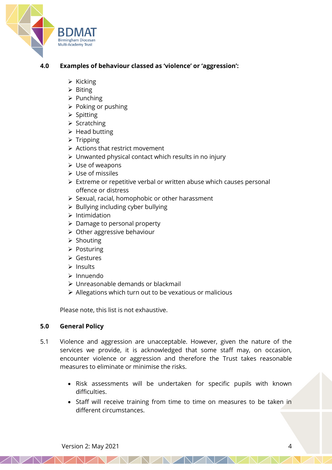

# **4.0 Examples of behaviour classed as 'violence' or 'aggression':**

- ➢ Kicking
- ➢ Biting
- ➢ Punching
- ➢ Poking or pushing
- ➢ Spitting
- ➢ Scratching
- ➢ Head butting
- ➢ Tripping
- ➢ Actions that restrict movement
- ➢ Unwanted physical contact which results in no injury
- $\triangleright$  Use of weapons
- ➢ Use of missiles
- ➢ Extreme or repetitive verbal or written abuse which causes personal offence or distress
- ➢ Sexual, racial, homophobic or other harassment
- ➢ Bullying including cyber bullying
- ➢ Intimidation
- ➢ Damage to personal property
- ➢ Other aggressive behaviour
- ➢ Shouting
- ➢ Posturing
- ➢ Gestures
- ➢ Insults
- ➢ Innuendo
- ➢ Unreasonable demands or blackmail
- ➢ Allegations which turn out to be vexatious or malicious

Please note, this list is not exhaustive.

#### **5.0 General Policy**

- 5.1 Violence and aggression are unacceptable. However, given the nature of the services we provide, it is acknowledged that some staff may, on occasion, encounter violence or aggression and therefore the Trust takes reasonable measures to eliminate or minimise the risks.
	- Risk assessments will be undertaken for specific pupils with known difficulties.
	- Staff will receive training from time to time on measures to be taken in different circumstances.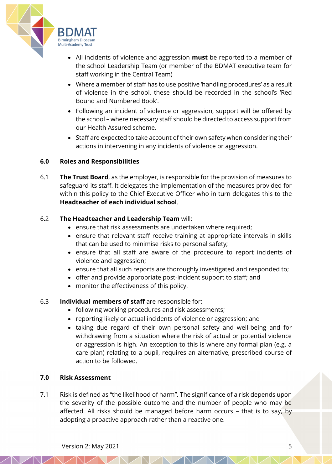

- All incidents of violence and aggression **must** be reported to a member of the school Leadership Team (or member of the BDMAT executive team for staff working in the Central Team)
- Where a member of staff has to use positive 'handling procedures' as a result of violence in the school, these should be recorded in the school's 'Red Bound and Numbered Book'.
- Following an incident of violence or aggression, support will be offered by the school – where necessary staff should be directed to access support from our Health Assured scheme.
- Staff are expected to take account of their own safety when considering their actions in intervening in any incidents of violence or aggression.

# **6.0 Roles and Responsibilities**

6.1 **The Trust Board**, as the employer, is responsible for the provision of measures to safeguard its staff. It delegates the implementation of the measures provided for within this policy to the Chief Executive Officer who in turn delegates this to the **Headteacher of each individual school**.

#### 6.2 **The Headteacher and Leadership Team** will:

- ensure that risk assessments are undertaken where required;
- ensure that relevant staff receive training at appropriate intervals in skills that can be used to minimise risks to personal safety;
- ensure that all staff are aware of the procedure to report incidents of violence and aggression;
- ensure that all such reports are thoroughly investigated and responded to;
- offer and provide appropriate post-incident support to staff; and
- monitor the effectiveness of this policy.

# 6.3 **Individual members of staff** are responsible for:

- following working procedures and risk assessments;
- reporting likely or actual incidents of violence or aggression; and
- taking due regard of their own personal safety and well-being and for withdrawing from a situation where the risk of actual or potential violence or aggression is high. An exception to this is where any formal plan (e.g. a care plan) relating to a pupil, requires an alternative, prescribed course of action to be followed.

#### **7.0 Risk Assessment**

7.1 Risk is defined as "the likelihood of harm". The significance of a risk depends upon the severity of the possible outcome and the number of people who may be affected. All risks should be managed before harm occurs – that is to say, by adopting a proactive approach rather than a reactive one.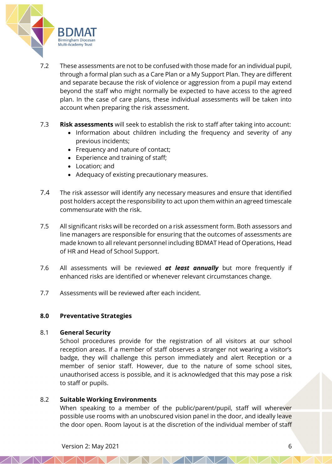

- 7.2 These assessments are not to be confused with those made for an individual pupil, through a formal plan such as a Care Plan or a My Support Plan. They are different and separate because the risk of violence or aggression from a pupil may extend beyond the staff who might normally be expected to have access to the agreed plan. In the case of care plans, these individual assessments will be taken into account when preparing the risk assessment.
- 7.3 **Risk assessments** will seek to establish the risk to staff after taking into account:
	- Information about children including the frequency and severity of any previous incidents;
	- Frequency and nature of contact;
	- Experience and training of staff;
	- Location; and
	- Adequacy of existing precautionary measures.
- 7.4 The risk assessor will identify any necessary measures and ensure that identified post holders accept the responsibility to act upon them within an agreed timescale commensurate with the risk.
- 7.5 All significant risks will be recorded on a risk assessment form. Both assessors and line managers are responsible for ensuring that the outcomes of assessments are made known to all relevant personnel including BDMAT Head of Operations, Head of HR and Head of School Support.
- 7.6 All assessments will be reviewed *at least annually* but more frequently if enhanced risks are identified or whenever relevant circumstances change.
- 7.7 Assessments will be reviewed after each incident.

# **8.0 Preventative Strategies**

# 8.1 **General Security**

School procedures provide for the registration of all visitors at our school reception areas. If a member of staff observes a stranger not wearing a visitor's badge, they will challenge this person immediately and alert Reception or a member of senior staff. However, due to the nature of some school sites, unauthorised access is possible, and it is acknowledged that this may pose a risk to staff or pupils.

# 8.2 **Suitable Working Environments**

When speaking to a member of the public/parent/pupil, staff will wherever possible use rooms with an unobscured vision panel in the door, and ideally leave the door open. Room layout is at the discretion of the individual member of staff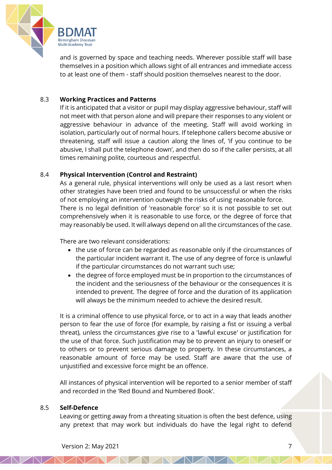

and is governed by space and teaching needs. Wherever possible staff will base themselves in a position which allows sight of all entrances and immediate access to at least one of them - staff should position themselves nearest to the door.

# 8.3 **Working Practices and Patterns**

If it is anticipated that a visitor or pupil may display aggressive behaviour, staff will not meet with that person alone and will prepare their responses to any violent or aggressive behaviour in advance of the meeting. Staff will avoid working in isolation, particularly out of normal hours. If telephone callers become abusive or threatening, staff will issue a caution along the lines of, 'if you continue to be abusive, I shall put the telephone down', and then do so if the caller persists, at all times remaining polite, courteous and respectful.

# 8.4 **Physical Intervention (Control and Restraint)**

As a general rule, physical interventions will only be used as a last resort when other strategies have been tried and found to be unsuccessful or when the risks of not employing an intervention outweigh the risks of using reasonable force. There is no legal definition of 'reasonable force' so it is not possible to set out comprehensively when it is reasonable to use force, or the degree of force that may reasonably be used. It will always depend on all the circumstances of the case.

There are two relevant considerations:

- the use of force can be regarded as reasonable only if the circumstances of the particular incident warrant it. The use of any degree of force is unlawful if the particular circumstances do not warrant such use;
- the degree of force employed must be in proportion to the circumstances of the incident and the seriousness of the behaviour or the consequences it is intended to prevent. The degree of force and the duration of its application will always be the minimum needed to achieve the desired result.

It is a criminal offence to use physical force, or to act in a way that leads another person to fear the use of force (for example, by raising a fist or issuing a verbal threat), unless the circumstances give rise to a 'lawful excuse' or justification for the use of that force. Such justification may be to prevent an injury to oneself or to others or to prevent serious damage to property. In these circumstances, a reasonable amount of force may be used. Staff are aware that the use of unjustified and excessive force might be an offence.

All instances of physical intervention will be reported to a senior member of staff and recorded in the 'Red Bound and Numbered Book'.

# 8.5 **Self-Defence**

Leaving or getting away from a threating situation is often the best defence, using any pretext that may work but individuals do have the legal right to defend

**NZNZ**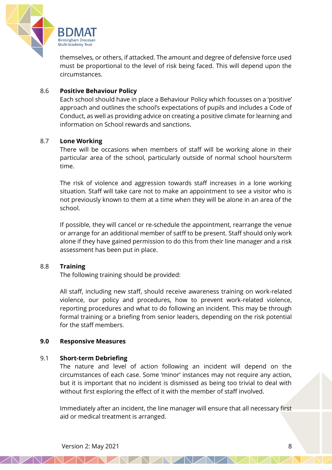

themselves, or others, if attacked. The amount and degree of defensive force used must be proportional to the level of risk being faced. This will depend upon the circumstances.

# 8.6 **Positive Behaviour Policy**

Each school should have in place a Behaviour Policy which focusses on a 'positive' approach and outlines the school's expectations of pupils and includes a Code of Conduct, as well as providing advice on creating a positive climate for learning and information on School rewards and sanctions.

#### 8.7 **Lone Working**

There will be occasions when members of staff will be working alone in their particular area of the school, particularly outside of normal school hours/term time.

The risk of violence and aggression towards staff increases in a lone working situation. Staff will take care not to make an appointment to see a visitor who is not previously known to them at a time when they will be alone in an area of the school.

If possible, they will cancel or re-schedule the appointment, rearrange the venue or arrange for an additional member of satff to be present. Staff should only work alone if they have gained permission to do this from their line manager and a risk assessment has been put in place.

# 8.8 **Training**

The following training should be provided:

All staff, including new staff, should receive awareness training on work-related violence, our policy and procedures, how to prevent work-related violence, reporting procedures and what to do following an incident. This may be through formal training or a briefing from senior leaders, depending on the risk potential for the staff members.

#### **9.0 Responsive Measures**

#### 9.1 **Short-term Debriefing**

The nature and level of action following an incident will depend on the circumstances of each case. Some 'minor' instances may not require any action, but it is important that no incident is dismissed as being too trivial to deal with without first exploring the effect of it with the member of staff involved.

Immediately after an incident, the line manager will ensure that all necessary first aid or medical treatment is arranged.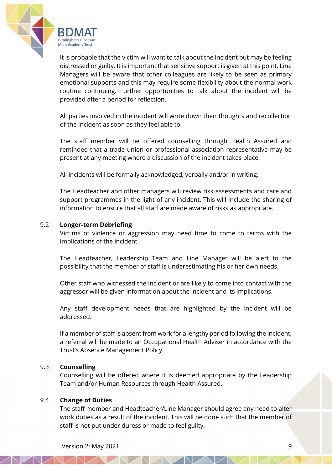

It is probable that the victim will want to talk about the incident but may be feeling distressed or guilty. It is important that sensitive support is given at this point. Line Managers will be aware that other colleagues are likely to be seen as primary emotional supports and this may require some flexibility about the normal work routine continuing. Further opportunities to talk about the incident will be provided after a period for reflection.

All parties involved in the incident will write down their thoughts and recollection of the incident as soon as they feel able to.

The staff member will be offered counselling through Health Assured and reminded that a trade union or professional association representative may be present at any meeting where a discussion of the incident takes place.

All incidents will be formally acknowledged, verbally and/or in writing.

The Headteacher and other managers will review risk assessments and care and support programmes in the light of any incident. This will include the sharing of information to ensure that all staff are made aware of risks as appropriate.

#### 9.2 **Longer-term Debriefing**

Victims of violence or aggression may need time to come to terms with the implications of the incident.

The Headteacher, Leadership Team and Line Manager will be alert to the possibility that the member of staff is underestimating his or her own needs.

Other staff who witnessed the incident or are likely to come into contact with the aggressor will be given information about the incident and its implications.

Any staff development needs that are highlighted by the incident will be addressed.

If a member of staff is absent from work for a lengthy period following the incident, a referral will be made to an Occupational Health Adviser in accordance with the Trust's Absence Management Policy.

#### 9.3 **Counselling**

Counselling will be offered where it is deemed appropriate by the Leadership Team and/or Human Resources through Health Assured.

#### 9.4 **Change of Duties**

The staff member and Headteacher/Line Manager should agree any need to alter work duties as a result of the incident. This will be done such that the member of staff is not put under duress or made to feel guilty.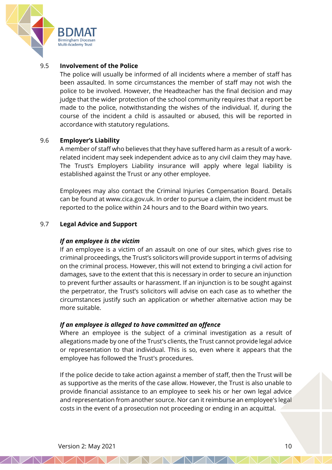

# 9.5 **Involvement of the Police**

The police will usually be informed of all incidents where a member of staff has been assaulted. In some circumstances the member of staff may not wish the police to be involved. However, the Headteacher has the final decision and may judge that the wider protection of the school community requires that a report be made to the police, notwithstanding the wishes of the individual. If, during the course of the incident a child is assaulted or abused, this will be reported in accordance with statutory regulations.

#### 9.6 **Employer's Liability**

A member of staff who believes that they have suffered harm as a result of a workrelated incident may seek independent advice as to any civil claim they may have. The Trust's Employers Liability insurance will apply where legal liability is established against the Trust or any other employee.

Employees may also contact the Criminal Injuries Compensation Board. Details can be found at www.cica.gov.uk. In order to pursue a claim, the incident must be reported to the police within 24 hours and to the Board within two years.

#### 9.7 **Legal Advice and Support**

#### *If an employee is the victim*

If an employee is a victim of an assault on one of our sites, which gives rise to criminal proceedings, the Trust's solicitors will provide support in terms of advising on the criminal process. However, this will not extend to bringing a civil action for damages, save to the extent that this is necessary in order to secure an injunction to prevent further assaults or harassment. If an injunction is to be sought against the perpetrator, the Trust's solicitors will advise on each case as to whether the circumstances justify such an application or whether alternative action may be more suitable.

#### *If an employee is alleged to have committed an offence*

Where an employee is the subject of a criminal investigation as a result of allegations made by one of the Trust's clients, the Trust cannot provide legal advice or representation to that individual. This is so, even where it appears that the employee has followed the Trust's procedures.

If the police decide to take action against a member of staff, then the Trust will be as supportive as the merits of the case allow. However, the Trust is also unable to provide financial assistance to an employee to seek his or her own legal advice and representation from another source. Nor can it reimburse an employee's legal costs in the event of a prosecution not proceeding or ending in an acquittal.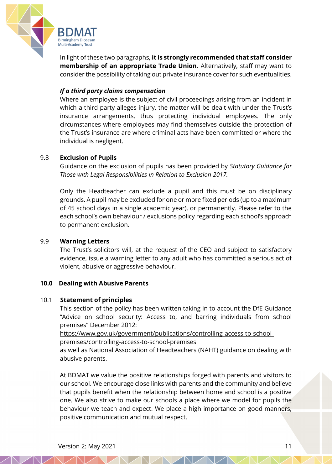

In light of these two paragraphs, **it is strongly recommended that staff consider membership of an appropriate Trade Union**. Alternatively, staff may want to consider the possibility of taking out private insurance cover for such eventualities.

# *If a third party claims compensation*

Where an employee is the subject of civil proceedings arising from an incident in which a third party alleges injury, the matter will be dealt with under the Trust's insurance arrangements, thus protecting individual employees. The only circumstances where employees may find themselves outside the protection of the Trust's insurance are where criminal acts have been committed or where the individual is negligent.

# 9.8 **Exclusion of Pupils**

Guidance on the exclusion of pupils has been provided by *Statutory Guidance for Those with Legal Responsibilities in Relation to Exclusion 2017.*

Only the Headteacher can exclude a pupil and this must be on disciplinary grounds. A pupil may be excluded for one or more fixed periods (up to a maximum of 45 school days in a single academic year), or permanently. Please refer to the each school's own behaviour / exclusions policy regarding each school's approach to permanent exclusion.

# 9.9 **Warning Letters**

The Trust's solicitors will, at the request of the CEO and subject to satisfactory evidence, issue a warning letter to any adult who has committed a serious act of violent, abusive or aggressive behaviour.

# **10.0 Dealing with Abusive Parents**

# 10.1 **Statement of principles**

This section of the policy has been written taking in to account the DfE Guidance "Advice on school security: Access to, and barring individuals from school premises" December 2012:

[https://www.gov.uk/government/publications/controlling-access-to-school](https://www.gov.uk/government/publications/controlling-access-to-school-premises/controlling-access-to-school-premises)[premises/controlling-access-to-school-premises](https://www.gov.uk/government/publications/controlling-access-to-school-premises/controlling-access-to-school-premises)

as well as National Association of Headteachers (NAHT) guidance on dealing with abusive parents.

At BDMAT we value the positive relationships forged with parents and visitors to our school. We encourage close links with parents and the community and believe that pupils benefit when the relationship between home and school is a positive one. We also strive to make our schools a place where we model for pupils the behaviour we teach and expect. We place a high importance on good manners, positive communication and mutual respect.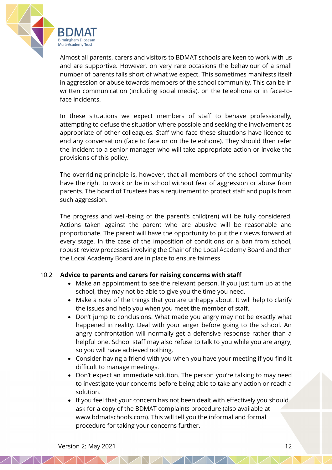

Almost all parents, carers and visitors to BDMAT schools are keen to work with us and are supportive. However, on very rare occasions the behaviour of a small number of parents falls short of what we expect. This sometimes manifests itself in aggression or abuse towards members of the school community. This can be in written communication (including social media), on the telephone or in face-toface incidents.

In these situations we expect members of staff to behave professionally, attempting to defuse the situation where possible and seeking the involvement as appropriate of other colleagues. Staff who face these situations have licence to end any conversation (face to face or on the telephone). They should then refer the incident to a senior manager who will take appropriate action or invoke the provisions of this policy.

The overriding principle is, however, that all members of the school community have the right to work or be in school without fear of aggression or abuse from parents. The board of Trustees has a requirement to protect staff and pupils from such aggression.

The progress and well-being of the parent's child(ren) will be fully considered. Actions taken against the parent who are abusive will be reasonable and proportionate. The parent will have the opportunity to put their views forward at every stage. In the case of the imposition of conditions or a ban from school, robust review processes involving the Chair of the Local Academy Board and then the Local Academy Board are in place to ensure fairness

# 10.2 **Advice to parents and carers for raising concerns with staff**

- Make an appointment to see the relevant person. If you just turn up at the school, they may not be able to give you the time you need.
- Make a note of the things that you are unhappy about. It will help to clarify the issues and help you when you meet the member of staff.
- Don't jump to conclusions. What made you angry may not be exactly what happened in reality. Deal with your anger before going to the school. An angry confrontation will normally get a defensive response rather than a helpful one. School staff may also refuse to talk to you while you are angry, so you will have achieved nothing.
- Consider having a friend with you when you have your meeting if you find it difficult to manage meetings.
- Don't expect an immediate solution. The person you're talking to may need to investigate your concerns before being able to take any action or reach a solution.
- If you feel that your concern has not been dealt with effectively you should ask for a copy of the BDMAT complaints procedure (also available at [www.bdmatschools.com\)](http://www.bdmatschools.com/). This will tell you the informal and formal procedure for taking your concerns further.

**NZNZ**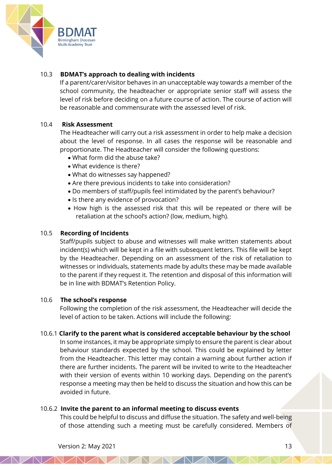

# 10.3 **BDMAT's approach to dealing with incidents**

If a parent/carer/visitor behaves in an unacceptable way towards a member of the school community, the headteacher or appropriate senior staff will assess the level of risk before deciding on a future course of action. The course of action will be reasonable and commensurate with the assessed level of risk.

# 10.4 **Risk Assessment**

The Headteacher will carry out a risk assessment in order to help make a decision about the level of response. In all cases the response will be reasonable and proportionate. The Headteacher will consider the following questions:

- What form did the abuse take?
- What evidence is there?
- What do witnesses say happened?
- Are there previous incidents to take into consideration?
- Do members of staff/pupils feel intimidated by the parent's behaviour?
- Is there any evidence of provocation?
- How high is the assessed risk that this will be repeated or there will be retaliation at the school's action? (low, medium, high).

#### 10.5 **Recording of Incidents**

Staff/pupils subject to abuse and witnesses will make written statements about incident(s) which will be kept in a file with subsequent letters. This file will be kept by the Headteacher. Depending on an assessment of the risk of retaliation to witnesses or individuals, statements made by adults these may be made available to the parent if they request it. The retention and disposal of this information will be in line with BDMAT's Retention Policy.

#### 10.6 **The school's response**

Following the completion of the risk assessment, the Headteacher will decide the level of action to be taken. Actions will include the following:

#### 10.6.1 **Clarify to the parent what is considered acceptable behaviour by the school**

In some instances, it may be appropriate simply to ensure the parent is clear about behaviour standards expected by the school. This could be explained by letter from the Headteacher. This letter may contain a warning about further action if there are further incidents. The parent will be invited to write to the Headteacher with their version of events within 10 working days. Depending on the parent's response a meeting may then be held to discuss the situation and how this can be avoided in future.

#### 10.6.2 **Invite the parent to an informal meeting to discuss events**

This could be helpful to discuss and diffuse the situation. The safety and well-being of those attending such a meeting must be carefully considered. Members of

VANA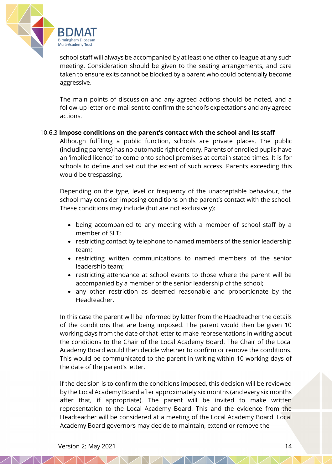

school staff will always be accompanied by at least one other colleague at any such meeting. Consideration should be given to the seating arrangements, and care taken to ensure exits cannot be blocked by a parent who could potentially become aggressive.

The main points of discussion and any agreed actions should be noted, and a follow-up letter or e-mail sent to confirm the school's expectations and any agreed actions.

#### 10.6.3 **Impose conditions on the parent's contact with the school and its staff**

Although fulfilling a public function, schools are private places. The public (including parents) has no automatic right of entry. Parents of enrolled pupils have an 'implied licence' to come onto school premises at certain stated times. It is for schools to define and set out the extent of such access. Parents exceeding this would be trespassing.

Depending on the type, level or frequency of the unacceptable behaviour, the school may consider imposing conditions on the parent's contact with the school. These conditions may include (but are not exclusively):

- being accompanied to any meeting with a member of school staff by a member of SLT;
- restricting contact by telephone to named members of the senior leadership team;
- restricting written communications to named members of the senior leadership team;
- restricting attendance at school events to those where the parent will be accompanied by a member of the senior leadership of the school;
- any other restriction as deemed reasonable and proportionate by the Headteacher.

In this case the parent will be informed by letter from the Headteacher the details of the conditions that are being imposed. The parent would then be given 10 working days from the date of that letter to make representations in writing about the conditions to the Chair of the Local Academy Board. The Chair of the Local Academy Board would then decide whether to confirm or remove the conditions. This would be communicated to the parent in writing within 10 working days of the date of the parent's letter.

If the decision is to confirm the conditions imposed, this decision will be reviewed by the Local Academy Board after approximately six months (and every six months after that, if appropriate). The parent will be invited to make written representation to the Local Academy Board. This and the evidence from the Headteacher will be considered at a meeting of the Local Academy Board. Local Academy Board governors may decide to maintain, extend or remove the

 $\mathbb{Z} \mathbb{N}$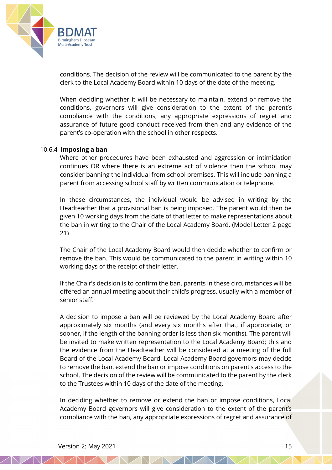

conditions. The decision of the review will be communicated to the parent by the clerk to the Local Academy Board within 10 days of the date of the meeting.

When deciding whether it will be necessary to maintain, extend or remove the conditions, governors will give consideration to the extent of the parent's compliance with the conditions, any appropriate expressions of regret and assurance of future good conduct received from then and any evidence of the parent's co-operation with the school in other respects.

#### 10.6.4 **Imposing a ban**

Where other procedures have been exhausted and aggression or intimidation continues OR where there is an extreme act of violence then the school may consider banning the individual from school premises. This will include banning a parent from accessing school staff by written communication or telephone.

In these circumstances, the individual would be advised in writing by the Headteacher that a provisional ban is being imposed. The parent would then be given 10 working days from the date of that letter to make representations about the ban in writing to the Chair of the Local Academy Board. (Model Letter 2 page 21)

The Chair of the Local Academy Board would then decide whether to confirm or remove the ban. This would be communicated to the parent in writing within 10 working days of the receipt of their letter.

If the Chair's decision is to confirm the ban, parents in these circumstances will be offered an annual meeting about their child's progress, usually with a member of senior staff.

A decision to impose a ban will be reviewed by the Local Academy Board after approximately six months (and every six months after that, if appropriate; or sooner, if the length of the banning order is less than six months). The parent will be invited to make written representation to the Local Academy Board; this and the evidence from the Headteacher will be considered at a meeting of the full Board of the Local Academy Board. Local Academy Board governors may decide to remove the ban, extend the ban or impose conditions on parent's access to the school. The decision of the review will be communicated to the parent by the clerk to the Trustees within 10 days of the date of the meeting.

In deciding whether to remove or extend the ban or impose conditions, Local Academy Board governors will give consideration to the extent of the parent's compliance with the ban, any appropriate expressions of regret and assurance of

 $\angle$  ND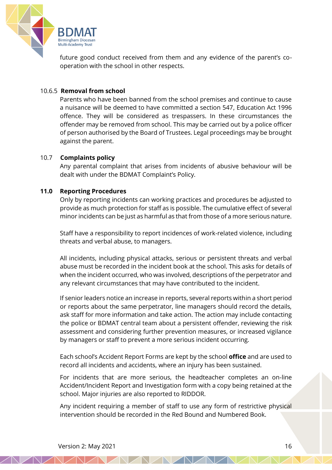

future good conduct received from them and any evidence of the parent's cooperation with the school in other respects.

#### 10.6.5 **Removal from school**

Parents who have been banned from the school premises and continue to cause a nuisance will be deemed to have committed a section 547, Education Act 1996 offence. They will be considered as trespassers. In these circumstances the offender may be removed from school. This may be carried out by a police officer of person authorised by the Board of Trustees. Legal proceedings may be brought against the parent.

#### 10.7 **Complaints policy**

Any parental complaint that arises from incidents of abusive behaviour will be dealt with under the BDMAT Complaint's Policy.

#### **11.0 Reporting Procedures**

Only by reporting incidents can working practices and procedures be adjusted to provide as much protection for staff as is possible. The cumulative effect of several minor incidents can be just as harmful as that from those of a more serious nature.

Staff have a responsibility to report incidences of work-related violence, including threats and verbal abuse, to managers.

All incidents, including physical attacks, serious or persistent threats and verbal abuse must be recorded in the incident book at the school. This asks for details of when the incident occurred, who was involved, descriptions of the perpetrator and any relevant circumstances that may have contributed to the incident.

If senior leaders notice an increase in reports, several reports within a short period or reports about the same perpetrator, line managers should record the details, ask staff for more information and take action. The action may include contacting the police or BDMAT central team about a persistent offender, reviewing the risk assessment and considering further prevention measures, or increased vigilance by managers or staff to prevent a more serious incident occurring.

Each school's Accident Report Forms are kept by the school **office** and are used to record all incidents and accidents, where an injury has been sustained.

For incidents that are more serious, the headteacher completes an on-line Accident/Incident Report and Investigation form with a copy being retained at the school. Major injuries are also reported to RIDDOR.

Any incident requiring a member of staff to use any form of restrictive physical intervention should be recorded in the Red Bound and Numbered Book.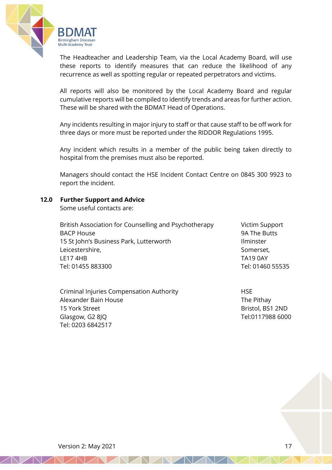

The Headteacher and Leadership Team, via the Local Academy Board, will use these reports to identify measures that can reduce the likelihood of any recurrence as well as spotting regular or repeated perpetrators and victims.

All reports will also be monitored by the Local Academy Board and regular cumulative reports will be compiled to identify trends and areas for further action. These will be shared with the BDMAT Head of Operations.

Any incidents resulting in major injury to staff or that cause staff to be off work for three days or more must be reported under the RIDDOR Regulations 1995.

Any incident which results in a member of the public being taken directly to hospital from the premises must also be reported.

Managers should contact the HSE Incident Contact Centre on 0845 300 9923 to report the incident.

#### **12.0 Further Support and Advice**

Some useful contacts are:

British Association for Counselling and Psychotherapy Victim Support BACP House 6 A The Butts 1994 The Butts 1996 The Butts 1996 The Butts 1996 The Butts 1996 The Butts 1996 The Butts 1996 The Butts 1996 The Butts 1996 The Butts 1996 The Butts 1996 The Butts 1996 The Butts 1997 The Butts 19 15 St John's Business Park, Lutterworth **Ilminster** Ilminster Leicestershire, Somerset, Somerset, Somerset, Somerset, Somerset, Somerset, Somerset, Somerset, Somerset, Somerset, Somerset, Somerset, Somerset, Somerset, Somerset, Somerset, Somerset, Somerset, Somerset, Somerset, Somers LE17 4HB TA19 0AY Tel: 01455 883300 Tel: 01460 55535

Criminal Injuries Compensation Authority HSE Alexander Bain House The Pithay 15 York Street **Bristol**, BS1 2ND Glasgow, G2 8JQ Tel:0117988 6000 Tel: 0203 6842517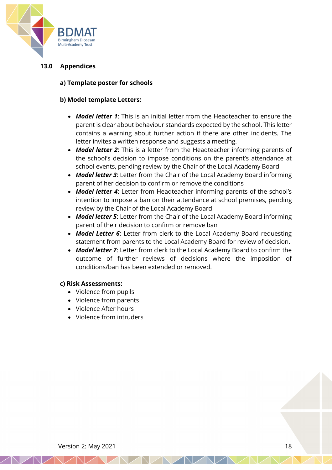

# **13.0 Appendices**

#### **a) Template poster for schools**

#### **b) Model template Letters:**

- *Model letter 1*: This is an initial letter from the Headteacher to ensure the parent is clear about behaviour standards expected by the school. This letter contains a warning about further action if there are other incidents. The letter invites a written response and suggests a meeting.
- *Model letter 2*: This is a letter from the Headteacher informing parents of the school's decision to impose conditions on the parent's attendance at school events, pending review by the Chair of the Local Academy Board
- *Model letter 3*: Letter from the Chair of the Local Academy Board informing parent of her decision to confirm or remove the conditions
- *Model letter 4*: Letter from Headteacher informing parents of the school's intention to impose a ban on their attendance at school premises, pending review by the Chair of the Local Academy Board
- *Model letter 5*: Letter from the Chair of the Local Academy Board informing parent of their decision to confirm or remove ban
- *Model Letter 6*: Letter from clerk to the Local Academy Board requesting statement from parents to the Local Academy Board for review of decision.
- *Model letter 7*: Letter from clerk to the Local Academy Board to confirm the outcome of further reviews of decisions where the imposition of conditions/ban has been extended or removed.

#### **c) Risk Assessments:**

- Violence from pupils
- Violence from parents
- Violence After hours
- Violence from intruders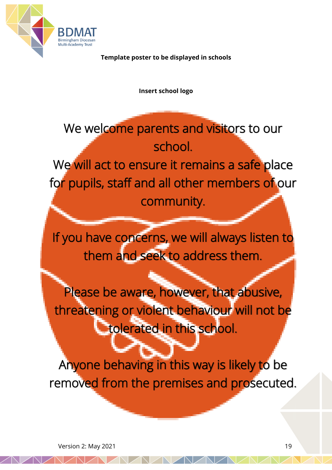

**Template poster to be displayed in schools**

**Insert school logo**

We welcome parents and visitors to our school. We will act to ensure it remains a safe place for pupils, staff and all other members of our community.

If you have concerns, we will always listen to them and seek to address them.

ł

Please be aware, however, that abusive, threatening or violent behaviour will not be **tolerated in this school.** 

Anyone behaving in this way is likely to be removed from the premises and prosecuted.

i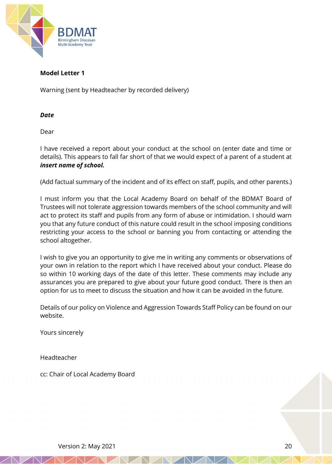

#### **Model Letter 1**

Warning (sent by Headteacher by recorded delivery)

#### *Date*

Dear

I have received a report about your conduct at the school on (enter date and time or details). This appears to fall far short of that we would expect of a parent of a student at *insert name of school.*

(Add factual summary of the incident and of its effect on staff, pupils, and other parents.)

I must inform you that the Local Academy Board on behalf of the BDMAT Board of Trustees will not tolerate aggression towards members of the school community and will act to protect its staff and pupils from any form of abuse or intimidation. I should warn you that any future conduct of this nature could result in the school imposing conditions restricting your access to the school or banning you from contacting or attending the school altogether.

I wish to give you an opportunity to give me in writing any comments or observations of your own in relation to the report which I have received about your conduct. Please do so within 10 working days of the date of this letter. These comments may include any assurances you are prepared to give about your future good conduct. There is then an option for us to meet to discuss the situation and how it can be avoided in the future.

Details of our policy on Violence and Aggression Towards Staff Policy can be found on our website.

Yours sincerely

Headteacher

cc: Chair of Local Academy Board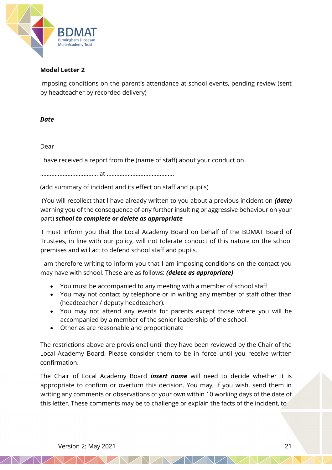

#### **Model Letter 2**

Imposing conditions on the parent's attendance at school events, pending review (sent by headteacher by recorded delivery)

#### *Date*

#### Dear

I have received a report from the (name of staff) about your conduct on

……………………………… at ……………………………………

(add summary of incident and its effect on staff and pupils)

(You will recollect that I have already written to you about a previous incident on *(date)* warning you of the consequence of any further insulting or aggressive behaviour on your part) *school to complete or delete as appropriate*

I must inform you that the Local Academy Board on behalf of the BDMAT Board of Trustees, in line with our policy, will not tolerate conduct of this nature on the school premises and will act to defend school staff and pupils.

I am therefore writing to inform you that I am imposing conditions on the contact you may have with school. These are as follows: *(delete as appropriate)*

- You must be accompanied to any meeting with a member of school staff
- You may not contact by telephone or in writing any member of staff other than (headteacher / deputy headteacher).
- You may not attend any events for parents except those where you will be accompanied by a member of the senior leadership of the school.
- Other as are reasonable and proportionate

The restrictions above are provisional until they have been reviewed by the Chair of the Local Academy Board. Please consider them to be in force until you receive written confirmation.

The Chair of Local Academy Board *insert name* will need to decide whether it is appropriate to confirm or overturn this decision. You may, if you wish, send them in writing any comments or observations of your own within 10 working days of the date of this letter. These comments may be to challenge or explain the facts of the incident, to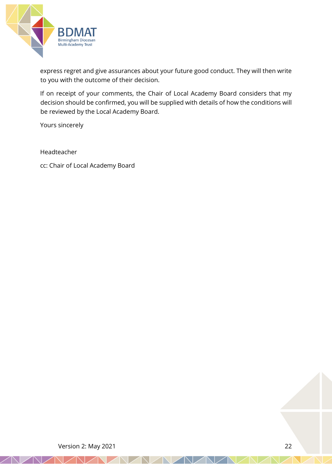

express regret and give assurances about your future good conduct. They will then write to you with the outcome of their decision.

If on receipt of your comments, the Chair of Local Academy Board considers that my decision should be confirmed, you will be supplied with details of how the conditions will be reviewed by the Local Academy Board.

Yours sincerely

Headteacher

cc: Chair of Local Academy Board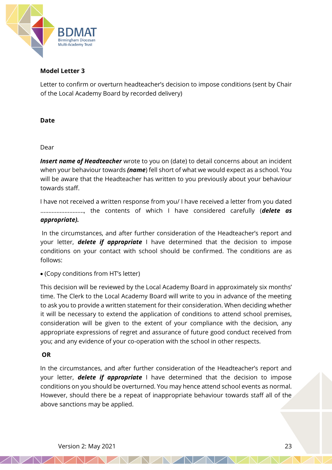

#### **Model Letter 3**

Letter to confirm or overturn headteacher's decision to impose conditions (sent by Chair of the Local Academy Board by recorded delivery)

#### **Date**

#### Dear

*Insert name of Headteacher* wrote to you on (date) to detail concerns about an incident when your behaviour towards *(name*) fell short of what we would expect as a school. You will be aware that the Headteacher has written to you previously about your behaviour towards staff.

I have not received a written response from you/ I have received a letter from you dated ………………………, the contents of which I have considered carefully (*delete as appropriate).*

In the circumstances, and after further consideration of the Headteacher's report and your letter, *delete if appropriate* I have determined that the decision to impose conditions on your contact with school should be confirmed. The conditions are as follows:

• (Copy conditions from HT's letter)

This decision will be reviewed by the Local Academy Board in approximately six months' time. The Clerk to the Local Academy Board will write to you in advance of the meeting to ask you to provide a written statement for their consideration. When deciding whether it will be necessary to extend the application of conditions to attend school premises, consideration will be given to the extent of your compliance with the decision, any appropriate expressions of regret and assurance of future good conduct received from you; and any evidence of your co-operation with the school in other respects.

# **OR**

In the circumstances, and after further consideration of the Headteacher's report and your letter, *delete if appropriate* I have determined that the decision to impose conditions on you should be overturned. You may hence attend school events as normal. However, should there be a repeat of inappropriate behaviour towards staff all of the above sanctions may be applied.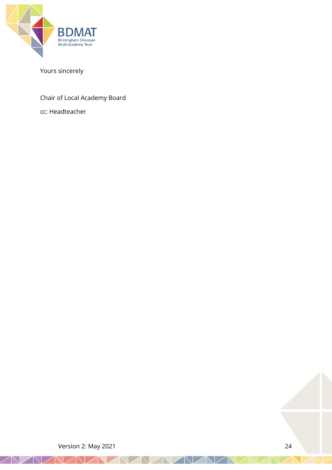

# Yours sincerely

# Chair of Local Academy Board

cc: Headteacher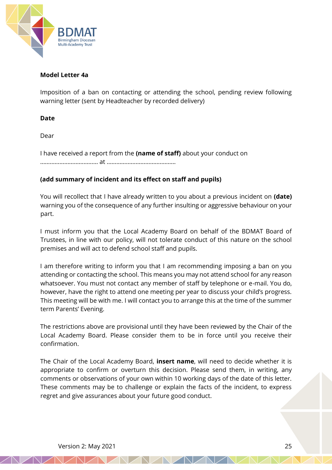

#### **Model Letter 4a**

Imposition of a ban on contacting or attending the school, pending review following warning letter (sent by Headteacher by recorded delivery)

#### **Date**

Dear

I have received a report from the **(name of staff)** about your conduct on ……………………………… at …………………………………….

# **(add summary of incident and its effect on staff and pupils)**

You will recollect that I have already written to you about a previous incident on **(date)** warning you of the consequence of any further insulting or aggressive behaviour on your part.

I must inform you that the Local Academy Board on behalf of the BDMAT Board of Trustees, in line with our policy, will not tolerate conduct of this nature on the school premises and will act to defend school staff and pupils.

I am therefore writing to inform you that I am recommending imposing a ban on you attending or contacting the school. This means you may not attend school for any reason whatsoever. You must not contact any member of staff by telephone or e-mail. You do, however, have the right to attend one meeting per year to discuss your child's progress. This meeting will be with me. I will contact you to arrange this at the time of the summer term Parents' Evening.

The restrictions above are provisional until they have been reviewed by the Chair of the Local Academy Board. Please consider them to be in force until you receive their confirmation.

The Chair of the Local Academy Board, **insert name**, will need to decide whether it is appropriate to confirm or overturn this decision. Please send them, in writing, any comments or observations of your own within 10 working days of the date of this letter. These comments may be to challenge or explain the facts of the incident, to express regret and give assurances about your future good conduct.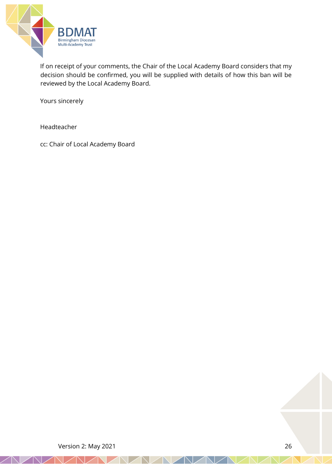

If on receipt of your comments, the Chair of the Local Academy Board considers that my decision should be confirmed, you will be supplied with details of how this ban will be reviewed by the Local Academy Board.

Yours sincerely

Headteacher

cc: Chair of Local Academy Board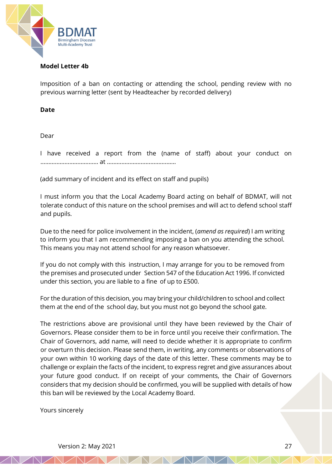

#### **Model Letter 4b**

Imposition of a ban on contacting or attending the school, pending review with no previous warning letter (sent by Headteacher by recorded delivery)

#### **Date**

Dear

I have received a report from the (name of staff) about your conduct on ……………………………… at …………………………………….

(add summary of incident and its effect on staff and pupils)

I must inform you that the Local Academy Board acting on behalf of BDMAT, will not tolerate conduct of this nature on the school premises and will act to defend school staff and pupils.

Due to the need for police involvement in the incident, (*amend as required*) I am writing to inform you that I am recommending imposing a ban on you attending the school. This means you may not attend school for any reason whatsoever.

If you do not comply with this instruction, I may arrange for you to be removed from the premises and prosecuted under Section 547 of the Education Act 1996. If convicted under this section, you are liable to a fine of up to £500.

For the duration of this decision, you may bring your child/children to school and collect them at the end of the school day, but you must not go beyond the school gate.

The restrictions above are provisional until they have been reviewed by the Chair of Governors. Please consider them to be in force until you receive their confirmation. The Chair of Governors, add name, will need to decide whether it is appropriate to confirm or overturn this decision. Please send them, in writing, any comments or observations of your own within 10 working days of the date of this letter. These comments may be to challenge or explain the facts of the incident, to express regret and give assurances about your future good conduct. If on receipt of your comments, the Chair of Governors considers that my decision should be confirmed, you will be supplied with details of how this ban will be reviewed by the Local Academy Board.

Yours sincerely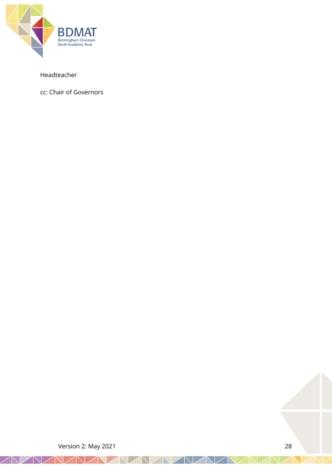

# Headteacher

cc: Chair of Governors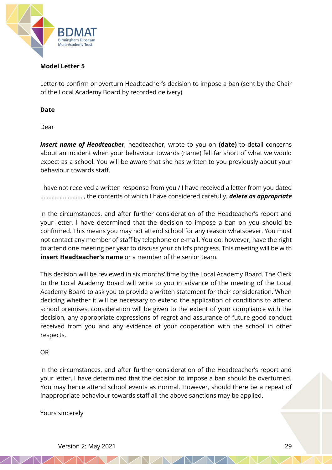

#### **Model Letter 5**

Letter to confirm or overturn Headteacher's decision to impose a ban (sent by the Chair of the Local Academy Board by recorded delivery)

#### **Date**

Dear

*Insert name of Headteacher*, headteacher, wrote to you on **(date)** to detail concerns about an incident when your behaviour towards (name) fell far short of what we would expect as a school. You will be aware that she has written to you previously about your behaviour towards staff.

I have not received a written response from you / I have received a letter from you dated ………………………, the contents of which I have considered carefully. *delete as appropriate*

In the circumstances, and after further consideration of the Headteacher's report and your letter, I have determined that the decision to impose a ban on you should be confirmed. This means you may not attend school for any reason whatsoever. You must not contact any member of staff by telephone or e-mail. You do, however, have the right to attend one meeting per year to discuss your child's progress. This meeting will be with **insert Headteacher's name** or a member of the senior team.

This decision will be reviewed in six months' time by the Local Academy Board. The Clerk to the Local Academy Board will write to you in advance of the meeting of the Local Academy Board to ask you to provide a written statement for their consideration. When deciding whether it will be necessary to extend the application of conditions to attend school premises, consideration will be given to the extent of your compliance with the decision, any appropriate expressions of regret and assurance of future good conduct received from you and any evidence of your cooperation with the school in other respects.

#### OR

In the circumstances, and after further consideration of the Headteacher's report and your letter, I have determined that the decision to impose a ban should be overturned. You may hence attend school events as normal. However, should there be a repeat of inappropriate behaviour towards staff all the above sanctions may be applied.

Yours sincerely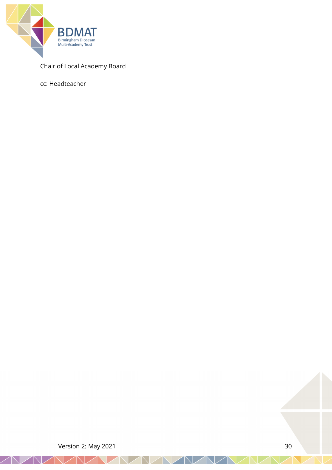

# Chair of Local Academy Board

cc: Headteacher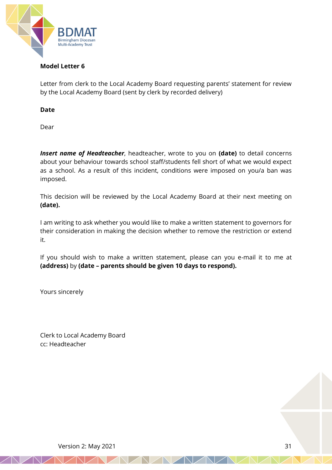

# **Model Letter 6**

Letter from clerk to the Local Academy Board requesting parents' statement for review by the Local Academy Board (sent by clerk by recorded delivery)

**Date**

Dear

*Insert name of Headteacher*, headteacher, wrote to you on **(date)** to detail concerns about your behaviour towards school staff/students fell short of what we would expect as a school. As a result of this incident, conditions were imposed on you/a ban was imposed.

This decision will be reviewed by the Local Academy Board at their next meeting on **(date).**

I am writing to ask whether you would like to make a written statement to governors for their consideration in making the decision whether to remove the restriction or extend it.

If you should wish to make a written statement, please can you e-mail it to me at **(address)** by **(date – parents should be given 10 days to respond).** 

Yours sincerely

Clerk to Local Academy Board cc: Headteacher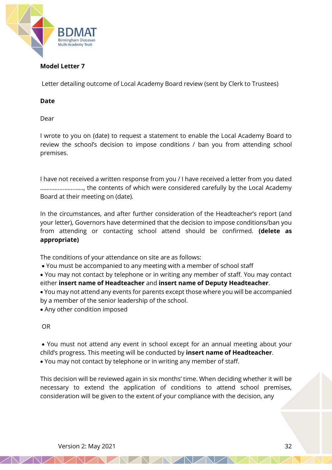

# **Model Letter 7**

Letter detailing outcome of Local Academy Board review (sent by Clerk to Trustees)

# **Date**

Dear

I wrote to you on (date) to request a statement to enable the Local Academy Board to review the school's decision to impose conditions / ban you from attending school premises.

I have not received a written response from you / I have received a letter from you dated ………………………, the contents of which were considered carefully by the Local Academy Board at their meeting on (date).

In the circumstances, and after further consideration of the Headteacher's report (and your letter), Governors have determined that the decision to impose conditions/ban you from attending or contacting school attend should be confirmed. **(delete as appropriate)**

The conditions of your attendance on site are as follows:

• You must be accompanied to any meeting with a member of school staff

• You may not contact by telephone or in writing any member of staff. You may contact either **insert name of Headteacher** and **insert name of Deputy Headteacher**.

- You may not attend any events for parents except those where you will be accompanied by a member of the senior leadership of the school.
- Any other condition imposed

# OR

• You must not attend any event in school except for an annual meeting about your child's progress. This meeting will be conducted by **insert name of Headteacher**. • You may not contact by telephone or in writing any member of staff.

This decision will be reviewed again in six months' time. When deciding whether it will be necessary to extend the application of conditions to attend school premises, consideration will be given to the extent of your compliance with the decision, any

Version 2: May 2021 32 and 2010 32 and 32 and 32 and 32 and 32 and 32 and 32 and 32 and 32 and 32 and 32 and 32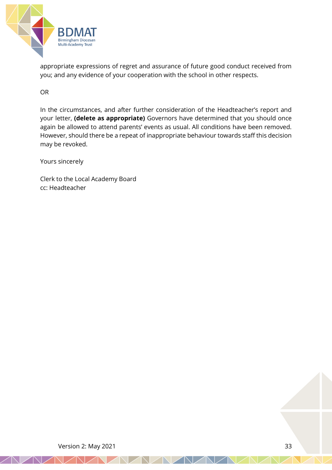

appropriate expressions of regret and assurance of future good conduct received from you; and any evidence of your cooperation with the school in other respects.

OR

In the circumstances, and after further consideration of the Headteacher's report and your letter, **(delete as appropriate)** Governors have determined that you should once again be allowed to attend parents' events as usual. All conditions have been removed. However, should there be a repeat of inappropriate behaviour towards staff this decision may be revoked.

Yours sincerely

Clerk to the Local Academy Board cc: Headteacher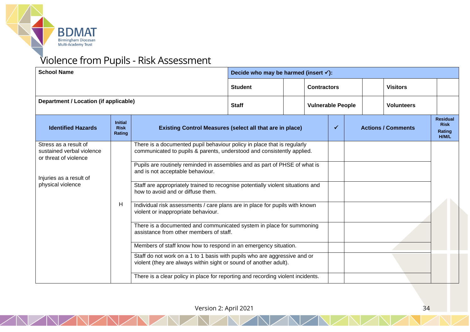

# Violence from Pupils - Risk Assessment

| <b>School Name</b>                                                                                                          |                                         |                                                                                                                                                                                                 | Decide who may be harmed (insert $\checkmark$ ):                                                                                                                                                                                                                                                                                                                                                                                                                                                                                                                                                                                                                                                                                          |                          |  |                    |  |                   |  |                                                          |  |
|-----------------------------------------------------------------------------------------------------------------------------|-----------------------------------------|-------------------------------------------------------------------------------------------------------------------------------------------------------------------------------------------------|-------------------------------------------------------------------------------------------------------------------------------------------------------------------------------------------------------------------------------------------------------------------------------------------------------------------------------------------------------------------------------------------------------------------------------------------------------------------------------------------------------------------------------------------------------------------------------------------------------------------------------------------------------------------------------------------------------------------------------------------|--------------------------|--|--------------------|--|-------------------|--|----------------------------------------------------------|--|
|                                                                                                                             |                                         |                                                                                                                                                                                                 | <b>Student</b>                                                                                                                                                                                                                                                                                                                                                                                                                                                                                                                                                                                                                                                                                                                            |                          |  | <b>Contractors</b> |  | <b>Visitors</b>   |  |                                                          |  |
| Department / Location (if applicable)                                                                                       |                                         | <b>Staff</b>                                                                                                                                                                                    |                                                                                                                                                                                                                                                                                                                                                                                                                                                                                                                                                                                                                                                                                                                                           | <b>Vulnerable People</b> |  |                    |  | <b>Volunteers</b> |  |                                                          |  |
| <b>Identified Hazards</b>                                                                                                   | <b>Initial</b><br><b>Risk</b><br>Rating |                                                                                                                                                                                                 | $\checkmark$<br><b>Actions / Comments</b><br><b>Existing Control Measures (select all that are in place)</b>                                                                                                                                                                                                                                                                                                                                                                                                                                                                                                                                                                                                                              |                          |  |                    |  |                   |  | <b>Residual</b><br><b>Risk</b><br>Rating<br><b>H/M/L</b> |  |
| Stress as a result of<br>sustained verbal violence<br>or threat of violence<br>Injuries as a result of<br>physical violence | Н                                       | and is not acceptable behaviour.<br>how to avoid and or diffuse them.<br>violent or inappropriate behaviour.<br>There is a clear policy in place for reporting and recording violent incidents. | There is a documented pupil behaviour policy in place that is regularly<br>communicated to pupils & parents, understood and consistently applied.<br>Pupils are routinely reminded in assemblies and as part of PHSE of what is<br>Staff are appropriately trained to recognise potentially violent situations and<br>Individual risk assessments / care plans are in place for pupils with known<br>There is a documented and communicated system in place for summoning<br>assistance from other members of staff.<br>Members of staff know how to respond in an emergency situation.<br>Staff do not work on a 1 to 1 basis with pupils who are aggressive and or<br>violent (they are always within sight or sound of another adult). |                          |  |                    |  |                   |  |                                                          |  |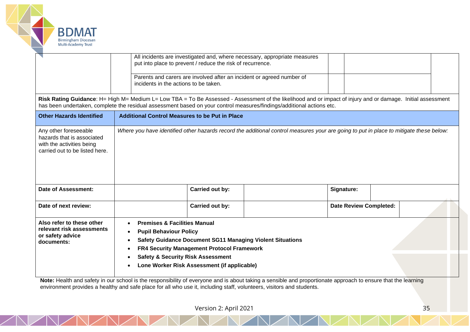

|                                                                                                                                                                                                                                                                                       | All incidents are investigated and, where necessary, appropriate measures<br>put into place to prevent / reduce the risk of recurrence. |                                                                                                                                                                                                                                                                                           |                                                                                                                                        |                               |  |  |  |  |  |  |  |  |
|---------------------------------------------------------------------------------------------------------------------------------------------------------------------------------------------------------------------------------------------------------------------------------------|-----------------------------------------------------------------------------------------------------------------------------------------|-------------------------------------------------------------------------------------------------------------------------------------------------------------------------------------------------------------------------------------------------------------------------------------------|----------------------------------------------------------------------------------------------------------------------------------------|-------------------------------|--|--|--|--|--|--|--|--|
|                                                                                                                                                                                                                                                                                       | Parents and carers are involved after an incident or agreed number of<br>incidents in the actions to be taken.                          |                                                                                                                                                                                                                                                                                           |                                                                                                                                        |                               |  |  |  |  |  |  |  |  |
| Risk Rating Guidance: H= High M= Medium L= Low TBA = To Be Assessed - Assessment of the likelihood and or impact of injury and or damage. Initial assessment<br>has been undertaken, complete the residual assessment based on your control measures/findings/additional actions etc. |                                                                                                                                         |                                                                                                                                                                                                                                                                                           |                                                                                                                                        |                               |  |  |  |  |  |  |  |  |
| <b>Other Hazards Identified</b>                                                                                                                                                                                                                                                       | <b>Additional Control Measures to be Put in Place</b>                                                                                   |                                                                                                                                                                                                                                                                                           |                                                                                                                                        |                               |  |  |  |  |  |  |  |  |
| Any other foreseeable<br>hazards that is associated<br>with the activities being<br>carried out to be listed here.                                                                                                                                                                    |                                                                                                                                         |                                                                                                                                                                                                                                                                                           | Where you have identified other hazards record the additional control measures your are going to put in place to mitigate these below: |                               |  |  |  |  |  |  |  |  |
| <b>Date of Assessment:</b>                                                                                                                                                                                                                                                            |                                                                                                                                         | Carried out by:                                                                                                                                                                                                                                                                           |                                                                                                                                        | Signature:                    |  |  |  |  |  |  |  |  |
| Date of next review:                                                                                                                                                                                                                                                                  |                                                                                                                                         | Carried out by:                                                                                                                                                                                                                                                                           |                                                                                                                                        | <b>Date Review Completed:</b> |  |  |  |  |  |  |  |  |
| Also refer to these other<br>relevant risk assessments<br>or safety advice<br>documents:                                                                                                                                                                                              |                                                                                                                                         | <b>Premises &amp; Facilities Manual</b><br><b>Pupil Behaviour Policy</b><br><b>Safety Guidance Document SG11 Managing Violent Situations</b><br>FR4 Security Management Protocol Framework<br><b>Safety &amp; Security Risk Assessment</b><br>Lone Worker Risk Assessment (if applicable) |                                                                                                                                        |                               |  |  |  |  |  |  |  |  |

environment provides a healthy and safe place for all who use it, including staff, volunteers, visitors and students.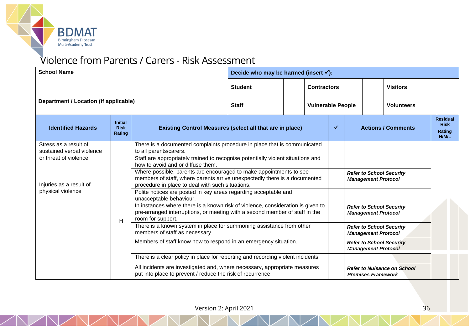

# Violence from Parents / Carers - Risk Assessment

| <b>School Name</b>                                                                                                          |                                         | Decide who may be harmed (insert $\checkmark$ ):                                                                                                                                                            |                                                                                                                                                                                                                                                                                                                                                                                                                                                                                                                                                                                                                                                                                                                                                                                                                                                                                                                    |                          |                           |  |  |                                                                                                                                                   |                                                                                                                                                                                |  |
|-----------------------------------------------------------------------------------------------------------------------------|-----------------------------------------|-------------------------------------------------------------------------------------------------------------------------------------------------------------------------------------------------------------|--------------------------------------------------------------------------------------------------------------------------------------------------------------------------------------------------------------------------------------------------------------------------------------------------------------------------------------------------------------------------------------------------------------------------------------------------------------------------------------------------------------------------------------------------------------------------------------------------------------------------------------------------------------------------------------------------------------------------------------------------------------------------------------------------------------------------------------------------------------------------------------------------------------------|--------------------------|---------------------------|--|--|---------------------------------------------------------------------------------------------------------------------------------------------------|--------------------------------------------------------------------------------------------------------------------------------------------------------------------------------|--|
|                                                                                                                             |                                         | <b>Student</b>                                                                                                                                                                                              |                                                                                                                                                                                                                                                                                                                                                                                                                                                                                                                                                                                                                                                                                                                                                                                                                                                                                                                    | <b>Contractors</b>       |                           |  |  | <b>Visitors</b>                                                                                                                                   |                                                                                                                                                                                |  |
| Department / Location (if applicable)                                                                                       |                                         | <b>Staff</b>                                                                                                                                                                                                |                                                                                                                                                                                                                                                                                                                                                                                                                                                                                                                                                                                                                                                                                                                                                                                                                                                                                                                    | <b>Vulnerable People</b> |                           |  |  | <b>Volunteers</b>                                                                                                                                 |                                                                                                                                                                                |  |
| <b>Identified Hazards</b>                                                                                                   | <b>Initial</b><br><b>Risk</b><br>Rating | <b>Existing Control Measures (select all that are in place)</b>                                                                                                                                             |                                                                                                                                                                                                                                                                                                                                                                                                                                                                                                                                                                                                                                                                                                                                                                                                                                                                                                                    | ✓                        | <b>Actions / Comments</b> |  |  | <b>Residual</b><br><b>Risk</b><br>Rating<br>H/M/L                                                                                                 |                                                                                                                                                                                |  |
| Stress as a result of<br>sustained verbal violence<br>or threat of violence<br>Injuries as a result of<br>physical violence | H                                       | to all parents/carers.<br>how to avoid and or diffuse them.<br>unacceptable behaviour.<br>room for support.<br>members of staff as necessary.<br>put into place to prevent / reduce the risk of recurrence. | There is a documented complaints procedure in place that is communicated<br>Staff are appropriately trained to recognise potentially violent situations and<br>Where possible, parents are encouraged to make appointments to see<br>members of staff, where parents arrive unexpectedly there is a documented<br>procedure in place to deal with such situations.<br>Polite notices are posted in key areas regarding acceptable and<br>In instances where there is a known risk of violence, consideration is given to<br>pre-arranged interruptions, or meeting with a second member of staff in the<br>There is a known system in place for summoning assistance from other<br>Members of staff know how to respond in an emergency situation.<br>There is a clear policy in place for reporting and recording violent incidents.<br>All incidents are investigated and, where necessary, appropriate measures |                          |                           |  |  | <b>Management Protocol</b><br><b>Management Protocol</b><br><b>Management Protocol</b><br><b>Management Protocol</b><br><b>Premises Framework</b> | <b>Refer to School Security</b><br><b>Refer to School Security</b><br><b>Refer to School Security</b><br><b>Refer to School Security</b><br><b>Refer to Nuisance on School</b> |  |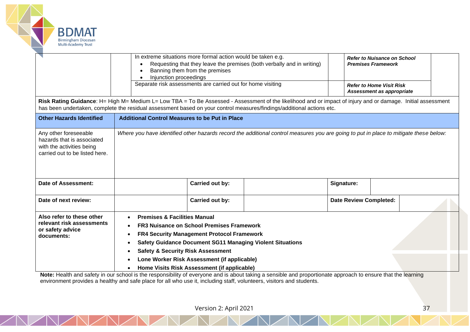

|                                                                                                                                                                                                                                                                                       | In extreme situations more formal action would be taken e.g.<br>Requesting that they leave the premises (both verbally and in writing)<br>Banning them from the premises<br>Injunction proceedings<br>Separate risk assessments are carried out for home visiting                                                                                                  |                               | <b>Refer to Nuisance on School</b><br><b>Premises Framework</b><br><b>Refer to Home Visit Risk</b> |  |  |  |  |  |  |  |  |
|---------------------------------------------------------------------------------------------------------------------------------------------------------------------------------------------------------------------------------------------------------------------------------------|--------------------------------------------------------------------------------------------------------------------------------------------------------------------------------------------------------------------------------------------------------------------------------------------------------------------------------------------------------------------|-------------------------------|----------------------------------------------------------------------------------------------------|--|--|--|--|--|--|--|--|
|                                                                                                                                                                                                                                                                                       |                                                                                                                                                                                                                                                                                                                                                                    |                               | Assessment as appropriate                                                                          |  |  |  |  |  |  |  |  |
| Risk Rating Guidance: H= High M= Medium L= Low TBA = To Be Assessed - Assessment of the likelihood and or impact of injury and or damage. Initial assessment<br>has been undertaken, complete the residual assessment based on your control measures/findings/additional actions etc. |                                                                                                                                                                                                                                                                                                                                                                    |                               |                                                                                                    |  |  |  |  |  |  |  |  |
| <b>Other Hazards Identified</b>                                                                                                                                                                                                                                                       | <b>Additional Control Measures to be Put in Place</b>                                                                                                                                                                                                                                                                                                              |                               |                                                                                                    |  |  |  |  |  |  |  |  |
| Any other foreseeable<br>hazards that is associated<br>with the activities being<br>carried out to be listed here.                                                                                                                                                                    | Where you have identified other hazards record the additional control measures you are going to put in place to mitigate these below:                                                                                                                                                                                                                              |                               |                                                                                                    |  |  |  |  |  |  |  |  |
| Date of Assessment:                                                                                                                                                                                                                                                                   | Carried out by:                                                                                                                                                                                                                                                                                                                                                    | Signature:                    |                                                                                                    |  |  |  |  |  |  |  |  |
| Date of next review:                                                                                                                                                                                                                                                                  | Carried out by:                                                                                                                                                                                                                                                                                                                                                    | <b>Date Review Completed:</b> |                                                                                                    |  |  |  |  |  |  |  |  |
| Also refer to these other<br>relevant risk assessments<br>or safety advice<br>documents:                                                                                                                                                                                              | <b>Premises &amp; Facilities Manual</b><br><b>FR3 Nuisance on School Premises Framework</b><br><b>FR4 Security Management Protocol Framework</b><br><b>Safety Guidance Document SG11 Managing Violent Situations</b><br><b>Safety &amp; Security Risk Assessment</b><br>Lone Worker Risk Assessment (if applicable)<br>Home Visits Risk Assessment (if applicable) |                               |                                                                                                    |  |  |  |  |  |  |  |  |

Note: Health and safety in our school is the responsibility of everyone and is about taking a sensible and proportionate approach to ensure that the learning environment provides a healthy and safe place for all who use it, including staff, volunteers, visitors and students.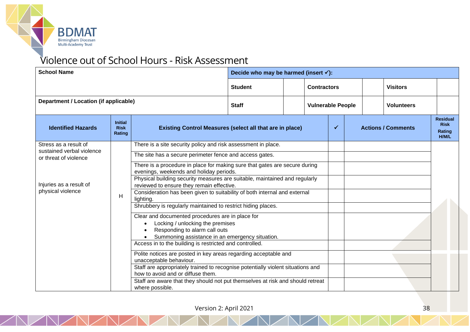

# Violence out of School Hours - Risk Assessment

| <b>School Name</b>                                                                                                          |                                         |                                                                                                                                                                                             | Decide who may be harmed (insert $\checkmark$ ):                                                                                                                                                                                                                                                                                                                                                                                                                                                                                                                                                                                                                                                                                                                                                                                                                                                                       |  |                          |                    |  |  |                           |                                                   |  |
|-----------------------------------------------------------------------------------------------------------------------------|-----------------------------------------|---------------------------------------------------------------------------------------------------------------------------------------------------------------------------------------------|------------------------------------------------------------------------------------------------------------------------------------------------------------------------------------------------------------------------------------------------------------------------------------------------------------------------------------------------------------------------------------------------------------------------------------------------------------------------------------------------------------------------------------------------------------------------------------------------------------------------------------------------------------------------------------------------------------------------------------------------------------------------------------------------------------------------------------------------------------------------------------------------------------------------|--|--------------------------|--------------------|--|--|---------------------------|---------------------------------------------------|--|
|                                                                                                                             |                                         |                                                                                                                                                                                             | <b>Student</b>                                                                                                                                                                                                                                                                                                                                                                                                                                                                                                                                                                                                                                                                                                                                                                                                                                                                                                         |  |                          | <b>Contractors</b> |  |  | <b>Visitors</b>           |                                                   |  |
| Department / Location (if applicable)                                                                                       |                                         |                                                                                                                                                                                             | <b>Staff</b>                                                                                                                                                                                                                                                                                                                                                                                                                                                                                                                                                                                                                                                                                                                                                                                                                                                                                                           |  | <b>Vulnerable People</b> |                    |  |  | <b>Volunteers</b>         |                                                   |  |
| <b>Identified Hazards</b>                                                                                                   | <b>Initial</b><br><b>Risk</b><br>Rating |                                                                                                                                                                                             | <b>Existing Control Measures (select all that are in place)</b>                                                                                                                                                                                                                                                                                                                                                                                                                                                                                                                                                                                                                                                                                                                                                                                                                                                        |  |                          |                    |  |  | <b>Actions / Comments</b> | <b>Residual</b><br><b>Risk</b><br>Rating<br>H/M/L |  |
| Stress as a result of<br>sustained verbal violence<br>or threat of violence<br>Injuries as a result of<br>physical violence | H                                       | lighting.<br>$\bullet$<br>unacceptable behaviour.<br>how to avoid and or diffuse them.<br>Staff are aware that they should not put themselves at risk and should retreat<br>where possible. | There is a site security policy and risk assessment in place.<br>The site has a secure perimeter fence and access gates.<br>There is a procedure in place for making sure that gates are secure during<br>evenings, weekends and holiday periods.<br>Physical building security measures are suitable, maintained and regularly<br>reviewed to ensure they remain effective.<br>Consideration has been given to suitability of both internal and external<br>Shrubbery is regularly maintained to restrict hiding places.<br>Clear and documented procedures are in place for<br>Locking / unlocking the premises<br>Responding to alarm call outs<br>Summoning assistance in an emergency situation.<br>Access in to the building is restricted and controlled.<br>Polite notices are posted in key areas regarding acceptable and<br>Staff are appropriately trained to recognise potentially violent situations and |  |                          |                    |  |  |                           |                                                   |  |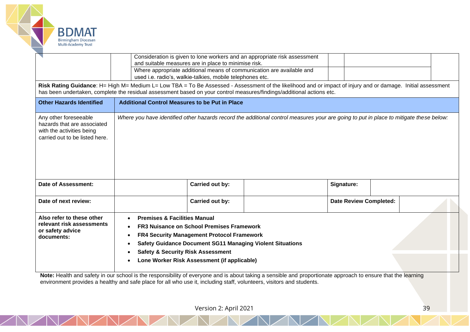

|                                                                                                                                                                                                                                                                                       | and suitable measures are in place to minimise risk.<br>used i.e. radio's, walkie-talkies, mobile telephones etc.                                                                                                                                                                                                                     | Consideration is given to lone workers and an appropriate risk assessment<br>Where appropriate additional means of communication are available and |                               |  |  |  |  |  |  |  |  |  |
|---------------------------------------------------------------------------------------------------------------------------------------------------------------------------------------------------------------------------------------------------------------------------------------|---------------------------------------------------------------------------------------------------------------------------------------------------------------------------------------------------------------------------------------------------------------------------------------------------------------------------------------|----------------------------------------------------------------------------------------------------------------------------------------------------|-------------------------------|--|--|--|--|--|--|--|--|--|
| Risk Rating Guidance: H= High M= Medium L= Low TBA = To Be Assessed - Assessment of the likelihood and or impact of injury and or damage. Initial assessment<br>has been undertaken, complete the residual assessment based on your control measures/findings/additional actions etc. |                                                                                                                                                                                                                                                                                                                                       |                                                                                                                                                    |                               |  |  |  |  |  |  |  |  |  |
| <b>Other Hazards Identified</b>                                                                                                                                                                                                                                                       |                                                                                                                                                                                                                                                                                                                                       | <b>Additional Control Measures to be Put in Place</b>                                                                                              |                               |  |  |  |  |  |  |  |  |  |
| Any other foreseeable<br>hazards that are associated<br>with the activities being<br>carried out to be listed here.                                                                                                                                                                   |                                                                                                                                                                                                                                                                                                                                       | Where you have identified other hazards record the additional control measures your are going to put in place to mitigate these below:             |                               |  |  |  |  |  |  |  |  |  |
| Date of Assessment:                                                                                                                                                                                                                                                                   | Carried out by:                                                                                                                                                                                                                                                                                                                       |                                                                                                                                                    | Signature:                    |  |  |  |  |  |  |  |  |  |
| Date of next review:                                                                                                                                                                                                                                                                  | Carried out by:                                                                                                                                                                                                                                                                                                                       |                                                                                                                                                    | <b>Date Review Completed:</b> |  |  |  |  |  |  |  |  |  |
| Also refer to these other<br>relevant risk assessments<br>or safety advice<br>documents:                                                                                                                                                                                              | <b>Premises &amp; Facilities Manual</b><br>$\bullet$<br><b>FR3 Nuisance on School Premises Framework</b><br><b>FR4 Security Management Protocol Framework</b><br>٠<br><b>Safety Guidance Document SG11 Managing Violent Situations</b><br><b>Safety &amp; Security Risk Assessment</b><br>Lone Worker Risk Assessment (if applicable) |                                                                                                                                                    |                               |  |  |  |  |  |  |  |  |  |

Note: Health and safety in our school is the responsibility of everyone and is about taking a sensible and proportionate approach to ensure that the learning environment provides a healthy and safe place for all who use it, including staff, volunteers, visitors and students.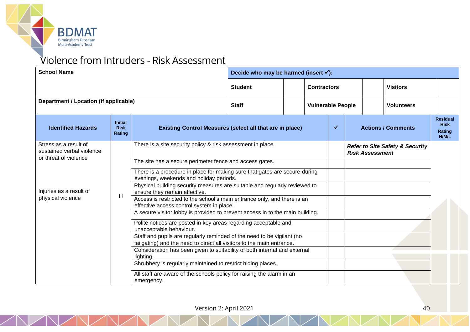

# Violence from Intruders - Risk Assessment

| <b>School Name</b>                                                          |                                         | Decide who may be harmed (insert $\checkmark$ ):                                                                                                                                                                                                                                                |                                                                 |                          |  |                    |                           |                        |                                            |                                                   |
|-----------------------------------------------------------------------------|-----------------------------------------|-------------------------------------------------------------------------------------------------------------------------------------------------------------------------------------------------------------------------------------------------------------------------------------------------|-----------------------------------------------------------------|--------------------------|--|--------------------|---------------------------|------------------------|--------------------------------------------|---------------------------------------------------|
|                                                                             |                                         |                                                                                                                                                                                                                                                                                                 | <b>Student</b>                                                  |                          |  | <b>Contractors</b> |                           |                        | <b>Visitors</b>                            |                                                   |
| Department / Location (if applicable)                                       |                                         | <b>Staff</b>                                                                                                                                                                                                                                                                                    |                                                                 | <b>Vulnerable People</b> |  | <b>Volunteers</b>  |                           |                        |                                            |                                                   |
| <b>Identified Hazards</b>                                                   | <b>Initial</b><br><b>Risk</b><br>Rating |                                                                                                                                                                                                                                                                                                 | <b>Existing Control Measures (select all that are in place)</b> |                          |  |                    | <b>Actions / Comments</b> |                        |                                            | <b>Residual</b><br><b>Risk</b><br>Rating<br>H/M/L |
| Stress as a result of<br>sustained verbal violence<br>or threat of violence |                                         | There is a site security policy & risk assessment in place.                                                                                                                                                                                                                                     |                                                                 |                          |  |                    |                           | <b>Risk Assessment</b> | <b>Refer to Site Safety &amp; Security</b> |                                                   |
| Injuries as a result of                                                     |                                         | The site has a secure perimeter fence and access gates.<br>There is a procedure in place for making sure that gates are secure during<br>evenings, weekends and holiday periods.<br>Physical building security measures are suitable and regularly reviewed to<br>ensure they remain effective. |                                                                 |                          |  |                    |                           |                        |                                            |                                                   |
| physical violence                                                           | H                                       | Access is restricted to the school's main entrance only, and there is an<br>effective access control system in place.<br>A secure visitor lobby is provided to prevent access in to the main building.                                                                                          |                                                                 |                          |  |                    |                           |                        |                                            |                                                   |
|                                                                             |                                         | Polite notices are posted in key areas regarding acceptable and<br>unacceptable behaviour.                                                                                                                                                                                                      |                                                                 |                          |  |                    |                           |                        |                                            |                                                   |
|                                                                             |                                         | Staff and pupils are regularly reminded of the need to be vigilant (no<br>tailgating) and the need to direct all visitors to the main entrance.                                                                                                                                                 |                                                                 |                          |  |                    |                           |                        |                                            |                                                   |
|                                                                             |                                         | Consideration has been given to suitability of both internal and external<br>lighting.<br>Shrubbery is regularly maintained to restrict hiding places.                                                                                                                                          |                                                                 |                          |  |                    |                           |                        |                                            |                                                   |
|                                                                             |                                         | All staff are aware of the schools policy for raising the alarm in an<br>emergency.                                                                                                                                                                                                             |                                                                 |                          |  |                    |                           |                        |                                            |                                                   |